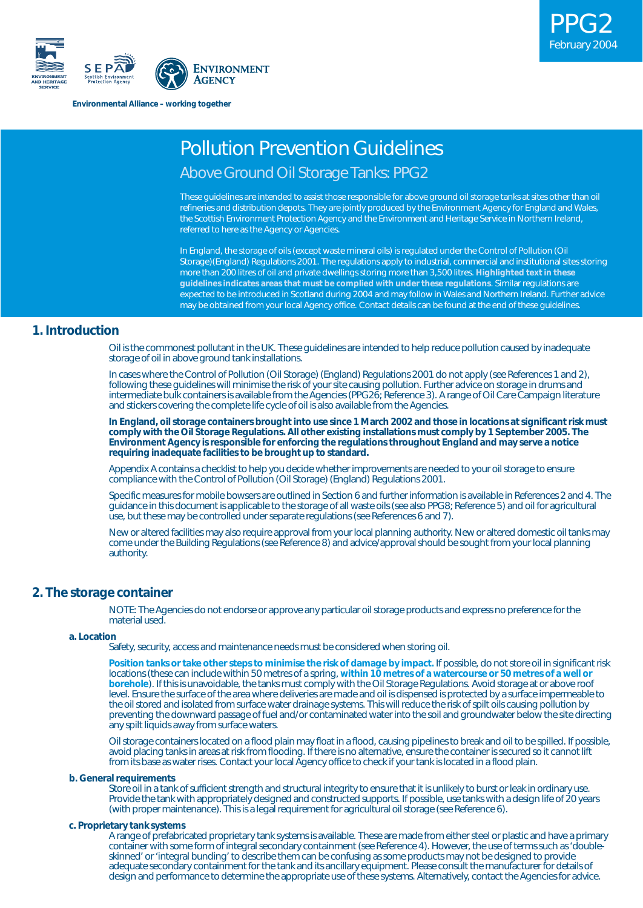

**Environmental Alliance – working together**

## Pollution Prevention Guidelines

## Above Ground Oil Storage Tanks: PPG2

These guidelines are intended to assist those responsible for above ground oil storage tanks at sites other than oil refineries and distribution depots. They are jointly produced by the Environment Agency for England and Wales, the Scottish Environment Protection Agency and the Environment and Heritage Service in Northern Ireland, referred to here as the Agency or Agencies.

In England, the storage of oils (except waste mineral oils) is regulated under the Control of Pollution (Oil Storage)(England) Regulations 2001. The regulations apply to industrial, commercial and institutional sites storing more than 200 litres of oil and private dwellings storing more than 3,500 litres. **Highlighted text in these guidelines indicates areas that must be complied with under these regulations**. Similar regulations are expected to be introduced in Scotland during 2004 and may follow in Wales and Northern Ireland. Further advice may be obtained from your local Agency office. Contact details can be found at the end of these guidelines.

## **1. Introduction**

Oil is the commonest pollutant in the UK. These guidelines are intended to help reduce pollution caused by inadequate storage of oil in above ground tank installations.

In cases where the Control of Pollution (Oil Storage) (England) Regulations 2001 do not apply (see References 1 and 2), following these guidelines will minimise the risk of your site causing pollution. Further advice on storage in drums and intermediate bulk containers is available from the Agencies (PPG26; Reference 3). A range of Oil Care Campaign literature and stickers covering the complete life cycle of oil is also available from the Agencies.

**In England, oil storage containers brought into use since 1 March 2002 and those in locations at significant risk must comply with the Oil Storage Regulations. All other existing installations must comply by 1 September 2005. The Environment Agency is responsible for enforcing the regulations throughout England and may serve a notice requiring inadequate facilities to be brought up to standard.**

Appendix A contains a checklist to help you decide whether improvements are needed to your oil storage to ensure compliance with the Control of Pollution (Oil Storage) (England) Regulations 2001.

Specific measures for mobile bowsers are outlined in Section 6 and further information is available in References 2 and 4. The guidance in this document is applicable to the storage of all waste oils (see also PPG8; Reference 5) and oil for agricultural use, but these may be controlled under separate regulations (see References 6 and 7).

New or altered facilities may also require approval from your local planning authority. New or altered domestic oil tanks may come under the Building Regulations (see Reference 8) and advice/approval should be sought from your local planning authority.

## **2. The storage container**

NOTE: The Agencies do not endorse or approve any particular oil storage products and express no preference for the material used.

#### **a. Location**

Safety, security, access and maintenance needs must be considered when storing oil.

**Position tanks or take other steps to minimise the risk of damage by impact.** If possible, do not store oil in significant risk locations (these can include within 50 metres of a spring, **within 10 metres of a watercourse or 50 metres of a well or borehole**). If this is unavoidable, the tanks must comply with the Oil Storage Regulations. Avoid storage at or above roof level. Ensure the surface of the area where deliveries are made and oil is dispensed is protected by a surface impermeable to the oil stored and isolated from surface water drainage systems. This will reduce the risk of spilt oils causing pollution by preventing the downward passage of fuel and/or contaminated water into the soil and groundwater below the site directing any spilt liquids away from surface waters.

Oil storage containers located on a flood plain may float in a flood, causing pipelines to break and oil to be spilled. If possible, avoid placing tanks in areas at risk from flooding. If there is no alternative, ensure the container is secured so it cannot lift from its base as water rises. Contact your local Agency office to check if your tank is located in a flood plain.

#### **b. General requirements**

Store oil in a tank of sufficient strength and structural integrity to ensure that it is unlikely to burst or leak in ordinary use. Provide the tank with appropriately designed and constructed supports. If possible, use tanks with a design life of 20 years (with proper maintenance). This is a legal requirement for agricultural oil storage (see Reference 6).

## **c. Proprietary tank systems**

A range of prefabricated proprietary tank systems is available. These are made from either steel or plastic and have a primary container with some form of integral secondary containment (see Reference 4). However, the use of terms such as 'doubleskinned' or 'integral bunding' to describe them can be confusing as some products may not be designed to provide adequate secondary containment for the tank and its ancillary equipment. Please consult the manufacturer for details of design and performance to determine the appropriate use of these systems. Alternatively, contact the Agencies for advice.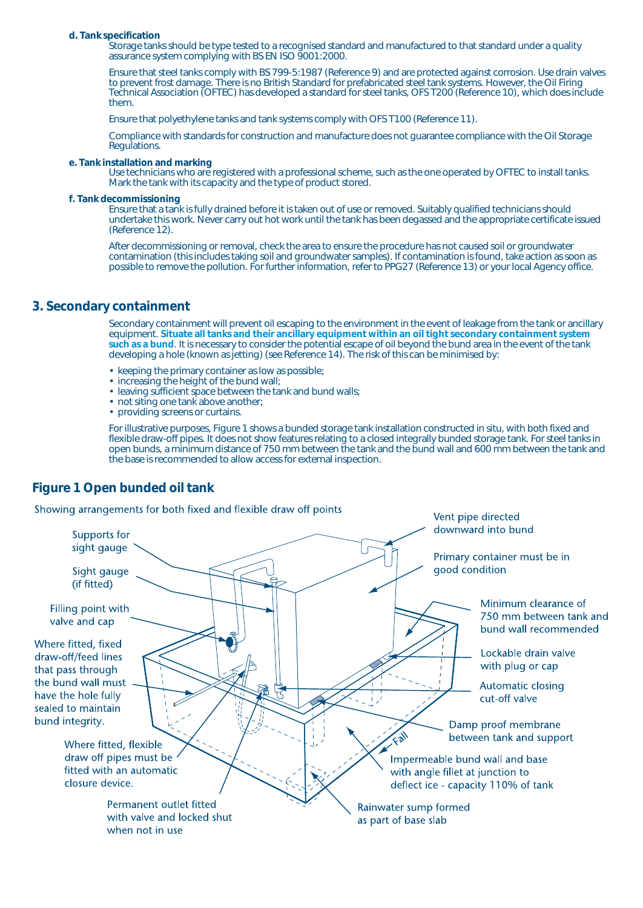#### **d. Tank specification**

Storage tanks should be type tested to a recognised standard and manufactured to that standard under a quality assurance system complying with BS EN ISO 9001:2000.

Ensure that steel tanks comply with BS 799-5:1987 (Reference 9) and are protected against corrosion. Use drain valves to prevent frost damage. There is no British Standard for prefabricated steel tank systems. However, the Oil Firing Technical Association (OFTEC) has developed a standard for steel tanks, OFS T200 (Reference 10), which does include them.

Ensure that polyethylene tanks and tank systems comply with OFS T100 (Reference 11).

Compliance with standards for construction and manufacture does not guarantee compliance with the Oil Storage Regulations.

#### **e. Tank installation and marking**

Use technicians who are registered with a professional scheme, such as the one operated by OFTEC to install tanks. Mark the tank with its capacity and the type of product stored.

#### **f. Tank decommissioning**

Ensure that a tank is fully drained before it is taken out of use or removed. Suitably qualified technicians should undertake this work. Never carry out hot work until the tank has been degassed and the appropriate certificate issued (Reference 12).

After decommissioning or removal, check the area to ensure the procedure has not caused soil or groundwater contamination (this includes taking soil and groundwater samples). If contamination is found, take action as soon as possible to remove the pollution. For further information, refer to PPG27 (Reference 13) or your local Agency office.

## **3. Secondary containment**

Secondary containment will prevent oil escaping to the environment in the event of leakage from the tank or ancillary equipment. **Situate all tanks and their ancillary equipment within an oil tight secondary containment system such as a bund**. It is necessary to consider the potential escape of oil beyond the bund area in the event of the tank developing a hole (known as jetting) (see Reference 14). The risk of this can be minimised by:

- keeping the primary container as low as possible;
- increasing the height of the bund wall;
- leaving sufficient space between the tank and bund walls;
- not siting one tank above another;
- providing screens or curtains.

For illustrative purposes, Figure 1 shows a bunded storage tank installation constructed in situ, with both fixed and flexible draw-off pipes. It does not show features relating to a closed integrally bunded storage tank. For steel tanks in open bunds, a minimum distance of 750 mm between the tank and the bund wall and 600 mm between the tank and the base is recommended to allow access for external inspection.

## **Figure 1 Open bunded oil tank**

Showing arrangements for both fixed and flexible draw off points

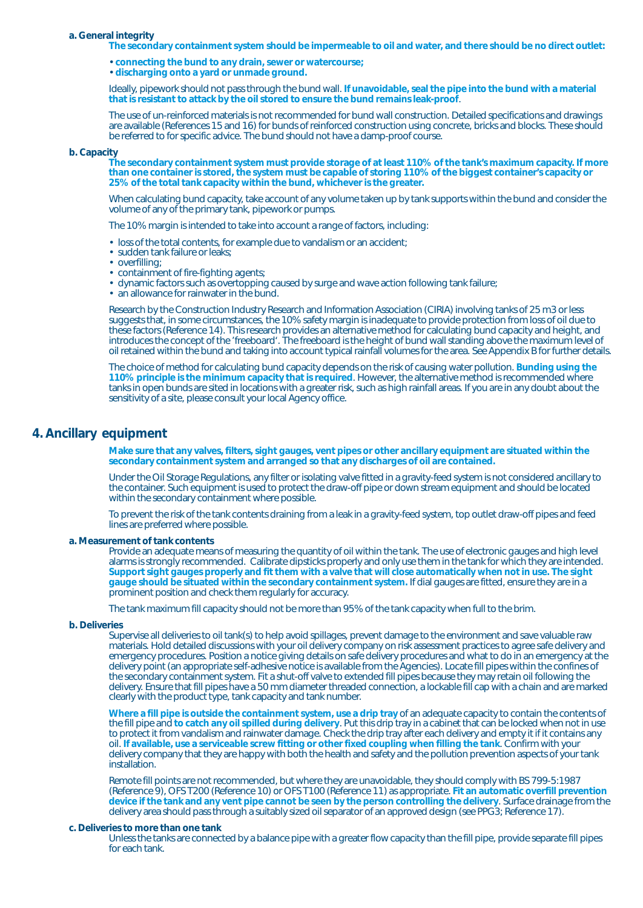#### **a. General integrity**

**The secondary containment system should be impermeable to oil and water, and there should be no direct outlet:**

• **connecting the bund to any drain, sewer or watercourse;**

• **discharging onto a yard or unmade ground.**

Ideally, pipework should not pass through the bund wall. **If unavoidable, seal the pipe into the bund with a material that is resistant to attack by the oil stored to ensure the bund remains leak-proof**.

The use of un-reinforced materials is not recommended for bund wall construction. Detailed specifications and drawings are available (References 15 and 16) for bunds of reinforced construction using concrete, bricks and blocks. These should be referred to for specific advice. The bund should not have a damp-proof course.

#### **b. Capacity**

**The secondary containment system must provide storage of at least 110% of the tank's maximum capacity. If more than one container is stored, the system must be capable of storing 110% of the biggest container's capacity or 25% of the total tank capacity within the bund, whichever is the greater.**

When calculating bund capacity, take account of any volume taken up by tank supports within the bund and consider the volume of any of the primary tank, pipework or pumps.

The 10% margin is intended to take into account a range of factors, including:

- loss of the total contents, for example due to vandalism or an accident;
- sudden tank failure or leaks;
- overfilling;
- containment of fire-fighting agents;
- dynamic factors such as overtopping caused by surge and wave action following tank failure;
- an allowance for rainwater in the bund.

Research by the Construction Industry Research and Information Association (CIRIA) involving tanks of 25 m3 or less suggests that, in some circumstances, the 10% safety margin is inadequate to provide protection from loss of oil due to these factors (Reference 14). This research provides an alternative method for calculating bund capacity and height, and introduces the concept of the 'freeboard'. The freeboard is the height of bund wall standing above the maximum level of oil retained within the bund and taking into account typical rainfall volumes for the area. See Appendix B for further details.

The choice of method for calculating bund capacity depends on the risk of causing water pollution. **Bunding using the 110% principle is the minimum capacity that is required**. However, the alternative method is recommended where tanks in open bunds are sited in locations with a greater risk, such as high rainfall areas. If you are in any doubt about the sensitivity of a site, please consult your local Agency office.

## **4. Ancillary equipment**

**Make sure that any valves, filters, sight gauges, vent pipes or other ancillary equipment are situated within the secondary containment system and arranged so that any discharges of oil are contained.**

Under the Oil Storage Regulations, any filter or isolating valve fitted in a gravity-feed system is not considered ancillary to the container. Such equipment is used to protect the draw-off pipe or down stream equipment and should be located within the secondary containment where possible.

To prevent the risk of the tank contents draining from a leak in a gravity-feed system, top outlet draw-off pipes and feed lines are preferred where possible.

#### **a. Measurement of tank contents**

Provide an adequate means of measuring the quantity of oil within the tank. The use of electronic gauges and high level alarms is strongly recommended. Calibrate dipsticks properly and only use them in the tank for which they are intended. **Support sight gauges properly and fit them with a valve that will close automatically when not in use. The sight gauge should be situated within the secondary containment system.** If dial gauges are fitted, ensure they are in a prominent position and check them regularly for accuracy.

The tank maximum fill capacity should not be more than 95% of the tank capacity when full to the brim.

#### **b. Deliveries**

Supervise all deliveries to oil tank(s) to help avoid spillages, prevent damage to the environment and save valuable raw materials. Hold detailed discussions with your oil delivery company on risk assessment practices to agree safe delivery and emergency procedures. Position a notice giving details on safe delivery procedures and what to do in an emergency at the delivery point (an appropriate self-adhesive notice is available from the Agencies). Locate fill pipes within the confines of the secondary containment system. Fit a shut-off valve to extended fill pipes because they may retain oil following the delivery. Ensure that fill pipes have a 50 mm diameter threaded connection, a lockable fill cap with a chain and are marked clearly with the product type, tank capacity and tank number.

**Where a fill pipe is outside the containment system, use a drip tray** of an adequate capacity to contain the contents of the fill pipe and **to catch any oil spilled during delivery**. Put this drip tray in a cabinet that can be locked when not in use to protect it from vandalism and rainwater damage. Check the drip tray after each delivery and empty it if it contains any oil. **If available, use a serviceable screw fitting or other fixed coupling when filling the tank**. Confirm with your delivery company that they are happy with both the health and safety and the pollution prevention aspects of your tank installation.

Remote fill points are not recommended, but where they are unavoidable, they should comply with BS 799-5:1987 (Reference 9), OFS T200 (Reference 10) or OFS T100 (Reference 11) as appropriate. **Fit an automatic overfill prevention device if the tank and any vent pipe cannot be seen by the person controlling the delivery**. Surface drainage from the delivery area should pass through a suitably sized oil separator of an approved design (see PPG3; Reference 17).

#### **c. Deliveries to more than one tank**

Unless the tanks are connected by a balance pipe with a greater flow capacity than the fill pipe, provide separate fill pipes for each tank.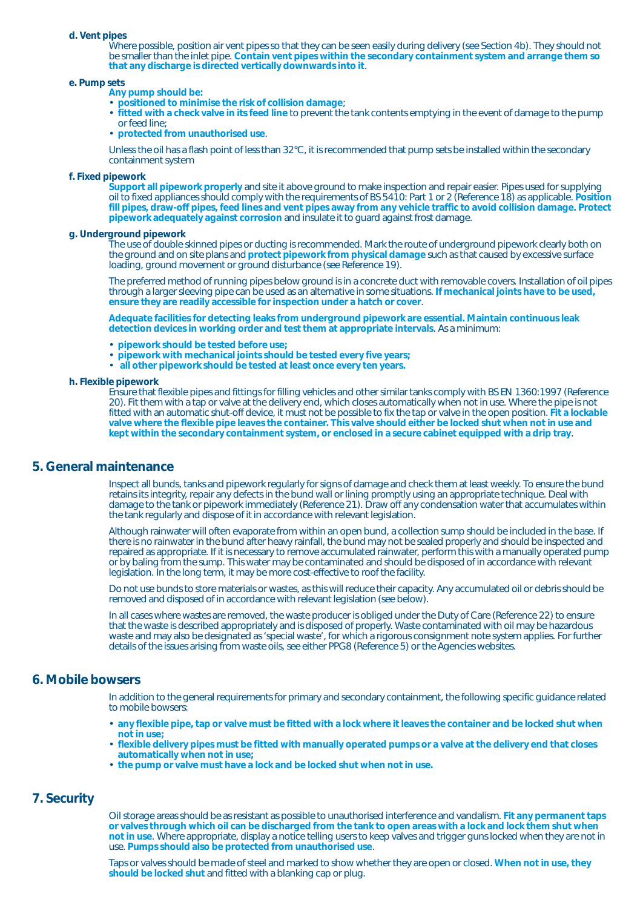#### **d. Vent pipes**

Where possible, position air vent pipes so that they can be seen easily during delivery (see Section 4b). They should not be smaller than the inlet pipe. **Contain vent pipes within the secondary containment system and arrange them so that any discharge is directed vertically downwards into it**.

#### **e. Pump sets**

**Any pump should be:**

- **positioned to minimise the risk of collision damage**;
- **fitted with a check valve in its feed line** to prevent the tank contents emptying in the event of damage to the pump or feed line;
- **protected from unauthorised use**.

Unless the oil has a flash point of less than 32°C, it is recommended that pump sets be installed within the secondary containment system

#### **f. Fixed pipework**

**Support all pipework properly** and site it above ground to make inspection and repair easier. Pipes used for supplying oil to fixed appliances should comply with the requirements of BS 5410: Part 1 or 2 (Reference 18) as applicable. **Position fill pipes, draw-off pipes, feed lines and vent pipes away from any vehicle traffic to avoid collision damage. Protect pipework adequately against corrosion** and insulate it to guard against frost damage.

## **g. Underground pipework**

The use of double skinned pipes or ducting is recommended. Mark the route of underground pipework clearly both on the ground and on site plans and **protect pipework from physical damage** such as that caused by excessive surface loading, ground movement or ground disturbance (see Reference 19).

The preferred method of running pipes below ground is in a concrete duct with removable covers. Installation of oil pipes through a larger sleeving pipe can be used as an alternative in some situations. **If mechanical joints have to be used, ensure they are readily accessible for inspection under a hatch or cover**.

**Adequate facilities for detecting leaks from underground pipework are essential. Maintain continuous leak detection devices in working order and test them at appropriate intervals**. As a minimum:

- **pipework should be tested before use;**
- **pipework with mechanical joints should be tested every five years;**
- **all other pipework should be tested at least once every ten years.**

#### **h. Flexible pipework**

Ensure that flexible pipes and fittings for filling vehicles and other similar tanks comply with BS EN 1360:1997 (Reference 20). Fit them with a tap or valve at the delivery end, which closes automatically when not in use. Where the pipe is not fitted with an automatic shut-off device, it must not be possible to fix the tap or valve in the open position. **Fit a lockable valve where the flexible pipe leaves the container. This valve should either be locked shut when not in use and kept within the secondary containment system, or enclosed in a secure cabinet equipped with a drip tray**.

## **5. General maintenance**

Inspect all bunds, tanks and pipework regularly for signs of damage and check them at least weekly. To ensure the bund retains its integrity, repair any defects in the bund wall or lining promptly using an appropriate technique. Deal with damage to the tank or pipework immediately (Reference 21). Draw off any condensation water that accumulates within the tank regularly and dispose of it in accordance with relevant legislation.

Although rainwater will often evaporate from within an open bund, a collection sump should be included in the base. If there is no rainwater in the bund after heavy rainfall, the bund may not be sealed properly and should be inspected and repaired as appropriate. If it is necessary to remove accumulated rainwater, perform this with a manually operated pump or by baling from the sump. This water may be contaminated and should be disposed of in accordance with relevant legislation. In the long term, it may be more cost-effective to roof the facility.

Do not use bunds to store materials or wastes, as this will reduce their capacity. Any accumulated oil or debris should be removed and disposed of in accordance with relevant legislation (see below).

In all cases where wastes are removed, the waste producer is obliged under the Duty of Care (Reference 22) to ensure that the waste is described appropriately and is disposed of properly. Waste contaminated with oil may be hazardous waste and may also be designated as 'special waste', for which a rigorous consignment note system applies. For further details of the issues arising from waste oils, see either PPG8 (Reference 5) or the Agencies websites.

## **6. Mobile bowsers**

In addition to the general requirements for primary and secondary containment, the following specific guidance related to mobile bowsers:

- **any flexible pipe, tap or valve must be fitted with a lock where it leaves the container and be locked shut when not in use;**
- **flexible delivery pipes must be fitted with manually operated pumps or a valve at the delivery end that closes automatically when not in use;**
- **the pump or valve must have a lock and be locked shut when not in use.**

## **7. Security**

Oil storage areas should be as resistant as possible to unauthorised interference and vandalism. **Fit any permanent taps or valves through which oil can be discharged from the tank to open areas with a lock and lock them shut when not in use**. Where appropriate, display a notice telling users to keep valves and trigger guns locked when they are not in use. **Pumps should also be protected from unauthorised use**.

Taps or valves should be made of steel and marked to show whether they are open or closed. **When not in use, they should be locked shut** and fitted with a blanking cap or plug.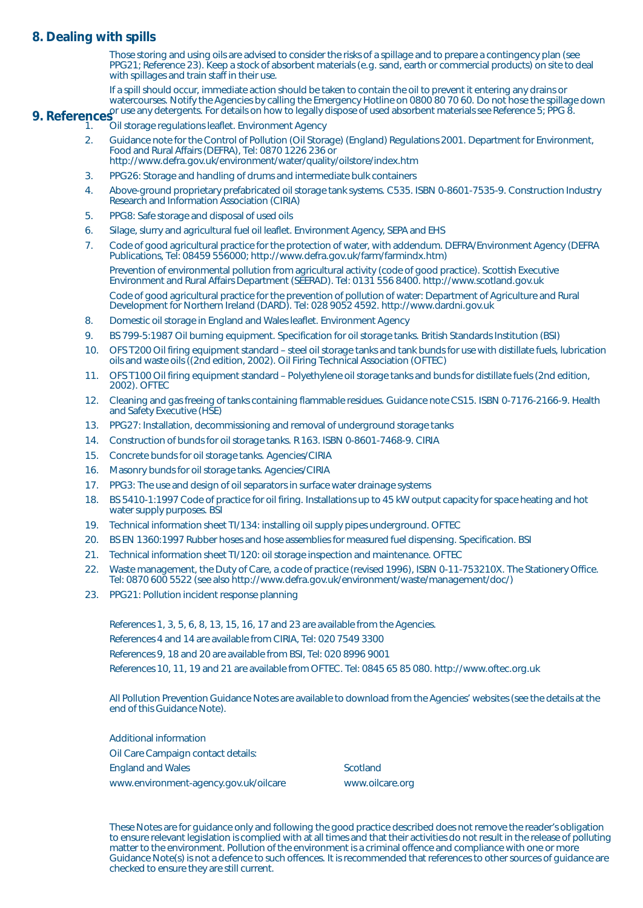## **8. Dealing with spills**

Those storing and using oils are advised to consider the risks of a spillage and to prepare a contingency plan (see PPG21; Reference 23). Keep a stock of absorbent materials (e.g. sand, earth or commercial products) on site to deal with spillages and train staff in their use.

If a spill should occur, immediate action should be taken to contain the oil to prevent it entering any drains or watercourses. Notify the Agencies by calling the Emergency Hotline on 0800 80 70 60. Do not hose the spillage down **9. References** or use any detergents. For details on how to legally dispose of used absorbent materials see Reference 5; PPG 8.

## 1. Oil storage regulations leaflet. Environment Agency

- 2. Guidance note for the Control of Pollution (Oil Storage) (England) Regulations 2001. Department for Environment, Food and Rural Affairs (DEFRA), Tel: 0870 1226 236 or http://www.defra.gov.uk/environment/water/quality/oilstore/index.htm
- 3. PPG26: Storage and handling of drums and intermediate bulk containers
- 4. Above-ground proprietary prefabricated oil storage tank systems. C535. ISBN 0-8601-7535-9. Construction Industry Research and Information Association (CIRIA)
- 5. PPG8: Safe storage and disposal of used oils
- 6. Silage, slurry and agricultural fuel oil leaflet. Environment Agency, SEPA and EHS
- 7. Code of good agricultural practice for the protection of water, with addendum. DEFRA/Environment Agency (DEFRA Publications, Tel: 08459 556000; http://www.defra.gov.uk/farm/farmindx.htm) Prevention of environmental pollution from agricultural activity (code of good practice). Scottish Executive Environment and Rural Affairs Department (SEERAD). Tel: 0131 556 8400. http://www.scotland.gov.uk

Code of good agricultural practice for the prevention of pollution of water: Department of Agriculture and Rural Development for Northern Ireland (DARD). Tel: 028 9052 4592. http://www.dardni.gov.uk

- 8. Domestic oil storage in England and Wales leaflet. Environment Agency
- 9. BS 799-5:1987 Oil burning equipment. Specification for oil storage tanks. British Standards Institution (BSI)
- 10. OFS T200 Oil firing equipment standard steel oil storage tanks and tank bunds for use with distillate fuels, lubrication oils and waste oils ((2nd edition, 2002). Oil Firing Technical Association (OFTEC)
- 11. OFS T100 Oil firing equipment standard Polyethylene oil storage tanks and bunds for distillate fuels (2nd edition, 2002). OFTEC
- 12. Cleaning and gas freeing of tanks containing flammable residues. Guidance note CS15. ISBN 0-7176-2166-9. Health and Safety Executive (HSE)
- 13. PPG27: Installation, decommissioning and removal of underground storage tanks
- 14. Construction of bunds for oil storage tanks. R 163. ISBN 0-8601-7468-9. CIRIA
- 15. Concrete bunds for oil storage tanks. Agencies/CIRIA
- 16. Masonry bunds for oil storage tanks. Agencies/CIRIA
- 17. PPG3: The use and design of oil separators in surface water drainage systems
- 18. BS 5410-1:1997 Code of practice for oil firing. Installations up to 45 kW output capacity for space heating and hot water supply purposes. BSI
- 19. Technical information sheet TI/134: installing oil supply pipes underground. OFTEC
- 20. BS EN 1360:1997 Rubber hoses and hose assemblies for measured fuel dispensing. Specification. BSI
- 21. Technical information sheet TI/120: oil storage inspection and maintenance. OFTEC
- 22. Waste management, the Duty of Care, a code of practice (revised 1996), ISBN 0-11-753210X. The Stationery Office. Tel: 0870 600 5522 (see also http://www.defra.gov.uk/environment/waste/management/doc/)
- 23. PPG21: Pollution incident response planning

References 1, 3, 5, 6, 8, 13, 15, 16, 17 and 23 are available from the Agencies.

References 4 and 14 are available from CIRIA, Tel: 020 7549 3300

References 9, 18 and 20 are available from BSI, Tel: 020 8996 9001

References 10, 11, 19 and 21 are available from OFTEC. Tel: 0845 65 85 080. http://www.oftec.org.uk

All Pollution Prevention Guidance Notes are available to download from the Agencies' websites (see the details at the end of this Guidance Note).

Additional information Oil Care Campaign contact details: England and Wales Scotland Scotland

www.environment-agency.gov.uk/oilcare www.oilcare.org

These Notes are for guidance only and following the good practice described does not remove the reader's obligation to ensure relevant legislation is complied with at all times and that their activities do not result in the release of polluting matter to the environment. Pollution of the environment is a criminal offence and compliance with one or more Guidance Note(s) is not a defence to such offences. It is recommended that references to other sources of guidance are checked to ensure they are still current.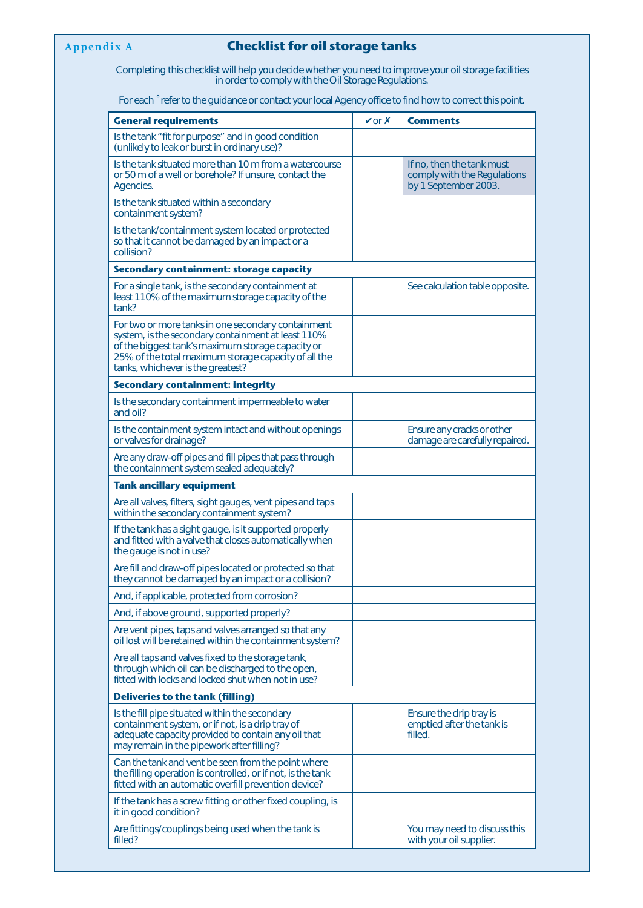## **Appendix A Checklist for oil storage tanks**

Completing this checklist will help you decide whether you need to improve your oil storage facilities in order to comply with the Oil Storage Regulations.

For each  $\degree$  refer to the guidance or contact your local Agency office to find how to correct this point.

| <b>General requirements</b>                                                                                                                                                                                                                                | $\sqrt{or} x$ | <b>Comments</b>                                                                  |
|------------------------------------------------------------------------------------------------------------------------------------------------------------------------------------------------------------------------------------------------------------|---------------|----------------------------------------------------------------------------------|
| Is the tank "fit for purpose" and in good condition<br>(unlikely to leak or burst in ordinary use)?                                                                                                                                                        |               |                                                                                  |
| Is the tank situated more than 10 m from a watercourse<br>or 50 m of a well or borehole? If unsure, contact the<br>Agencies.                                                                                                                               |               | If no, then the tank must<br>comply with the Regulations<br>by 1 September 2003. |
| Is the tank situated within a secondary<br>containment system?                                                                                                                                                                                             |               |                                                                                  |
| Is the tank/containment system located or protected<br>so that it cannot be damaged by an impact or a<br>collision?                                                                                                                                        |               |                                                                                  |
| Secondary containment: storage capacity                                                                                                                                                                                                                    |               |                                                                                  |
| For a single tank, is the secondary containment at<br>least 110% of the maximum storage capacity of the<br>tank?                                                                                                                                           |               | See calculation table opposite.                                                  |
| For two or more tanks in one secondary containment<br>system, is the secondary containment at least 110%<br>of the biggest tank's maximum storage capacity or<br>25% of the total maximum storage capacity of all the<br>tanks, whichever is the greatest? |               |                                                                                  |
| <b>Secondary containment: integrity</b>                                                                                                                                                                                                                    |               |                                                                                  |
| Is the secondary containment impermeable to water<br>and oil?                                                                                                                                                                                              |               |                                                                                  |
| Is the containment system intact and without openings<br>or valves for drainage?                                                                                                                                                                           |               | Ensure any cracks or other<br>damage are carefully repaired.                     |
| Are any draw-off pipes and fill pipes that pass through<br>the containment system sealed adequately?                                                                                                                                                       |               |                                                                                  |
| <b>Tank ancillary equipment</b>                                                                                                                                                                                                                            |               |                                                                                  |
| Are all valves, filters, sight gauges, vent pipes and taps<br>within the secondary containment system?                                                                                                                                                     |               |                                                                                  |
| If the tank has a sight gauge, is it supported properly<br>and fitted with a valve that closes automatically when<br>the gauge is not in use?                                                                                                              |               |                                                                                  |
| Are fill and draw-off pipes located or protected so that<br>they cannot be damaged by an impact or a collision?                                                                                                                                            |               |                                                                                  |
| And, if applicable, protected from corrosion?                                                                                                                                                                                                              |               |                                                                                  |
| And, if above ground, supported properly?                                                                                                                                                                                                                  |               |                                                                                  |
| Are vent pipes, taps and valves arranged so that any<br>oil lost will be retained within the containment system?                                                                                                                                           |               |                                                                                  |
| Are all taps and valves fixed to the storage tank,<br>through which oil can be discharged to the open,<br>fitted with locks and locked shut when not in use?                                                                                               |               |                                                                                  |
| <b>Deliveries to the tank (filling)</b>                                                                                                                                                                                                                    |               |                                                                                  |
| Is the fill pipe situated within the secondary<br>containment system, or if not, is a drip tray of<br>adequate capacity provided to contain any oil that<br>may remain in the pipework after filling?                                                      |               | Ensure the drip tray is<br>emptied after the tank is<br>filled.                  |
| Can the tank and vent be seen from the point where<br>the filling operation is controlled, or if not, is the tank<br>fitted with an automatic overfill prevention device?                                                                                  |               |                                                                                  |
| If the tank has a screw fitting or other fixed coupling, is<br>it in good condition?                                                                                                                                                                       |               |                                                                                  |
| Are fittings/couplings being used when the tank is<br>filled?                                                                                                                                                                                              |               | You may need to discuss this<br>with your oil supplier.                          |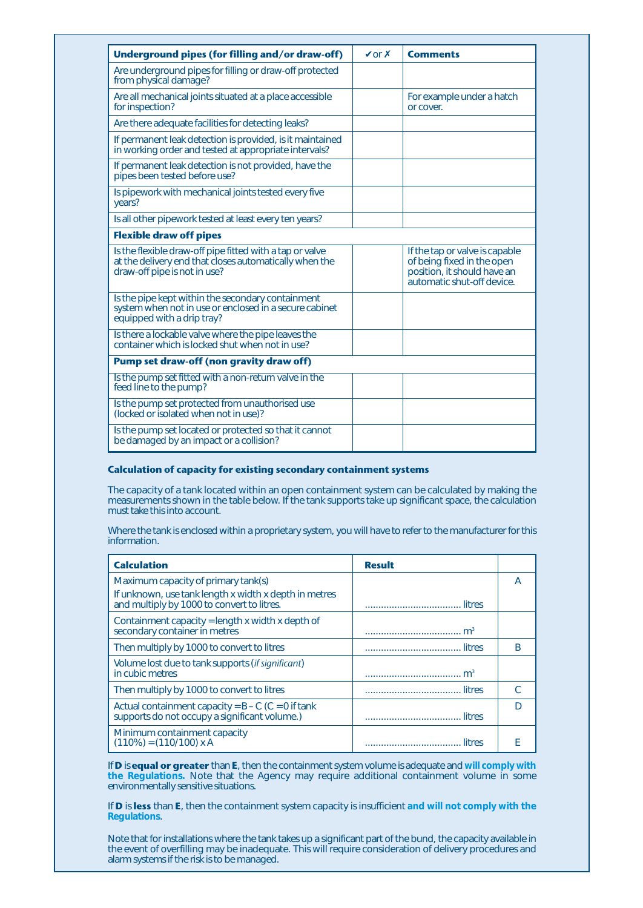| Underground pipes (for filling and/or draw-off)                                                                                                    | $\sqrt{or} x$ | <b>Comments</b>                                                                                                           |
|----------------------------------------------------------------------------------------------------------------------------------------------------|---------------|---------------------------------------------------------------------------------------------------------------------------|
| Are underground pipes for filling or draw-off protected<br>from physical damage?                                                                   |               |                                                                                                                           |
| Are all mechanical joints situated at a place accessible<br>for inspection?                                                                        |               | For example under a hatch<br>or cover.                                                                                    |
| Are there adequate facilities for detecting leaks?                                                                                                 |               |                                                                                                                           |
| If permanent leak detection is provided, is it maintained<br>in working order and tested at appropriate intervals?                                 |               |                                                                                                                           |
| If permanent leak detection is not provided, have the<br>pipes been tested before use?                                                             |               |                                                                                                                           |
| Is pipework with mechanical joints tested every five<br>years?                                                                                     |               |                                                                                                                           |
| Is all other pipework tested at least every ten years?                                                                                             |               |                                                                                                                           |
| <b>Flexible draw off pipes</b>                                                                                                                     |               |                                                                                                                           |
| Is the flexible draw-off pipe fitted with a tap or valve<br>at the delivery end that closes automatically when the<br>draw-off pipe is not in use? |               | If the tap or valve is capable<br>of being fixed in the open<br>position, it should have an<br>automatic shut-off device. |
| Is the pipe kept within the secondary containment<br>system when not in use or enclosed in a secure cabinet<br>equipped with a drip tray?          |               |                                                                                                                           |
| Is there a lockable valve where the pipe leaves the<br>container which is locked shut when not in use?                                             |               |                                                                                                                           |
| <b>Pump set draw-off (non gravity draw off)</b>                                                                                                    |               |                                                                                                                           |
| Is the pump set fitted with a non-return valve in the<br>feed line to the pump?                                                                    |               |                                                                                                                           |
| Is the pump set protected from unauthorised use<br>(locked or isolated when not in use)?                                                           |               |                                                                                                                           |
| Is the pump set located or protected so that it cannot<br>be damaged by an impact or a collision?                                                  |               |                                                                                                                           |

## **Calculation of capacity for existing secondary containment systems**

The capacity of a tank located within an open containment system can be calculated by making the measurements shown in the table below. If the tank supports take up significant space, the calculation must take this into account.

Where the tank is enclosed within a proprietary system, you will have to refer to the manufacturer for this information.

| <b>Calculation</b>                                                                                    | <b>Result</b>  |    |
|-------------------------------------------------------------------------------------------------------|----------------|----|
| Maximum capacity of primary tank(s)                                                                   |                | A  |
| If unknown, use tank length x width x depth in metres<br>and multiply by 1000 to convert to litres.   |                |    |
| Containment capacity = length x width x depth of<br>secondary container in metres                     | m <sup>3</sup> |    |
| Then multiply by 1000 to convert to litres                                                            |                | B  |
| Volume lost due to tank supports <i>(if significant)</i><br>in cubic metres                           | m <sup>3</sup> |    |
| Then multiply by 1000 to convert to litres                                                            |                | C. |
| Actual containment capacity = $B - C$ (C = 0 if tank<br>supports do not occupy a significant volume.) |                | D  |
| Minimum containment capacity<br>$(110\%) = (110/100) \times A$                                        | litres         |    |

If **D** is **equal or greater** than **E**, then the containment system volume is adequate and **will comply with the Regulations.** Note that the Agency may require additional containment volume in some environmentally sensitive situations.

If **D** is **less** than **E**, then the containment system capacity is insufficient **and will not comply with the Regulations**.

Note that for installations where the tank takes up a significant part of the bund, the capacity available in the event of overfilling may be inadequate. This will require consideration of delivery procedures and alarm systems if the risk is to be managed.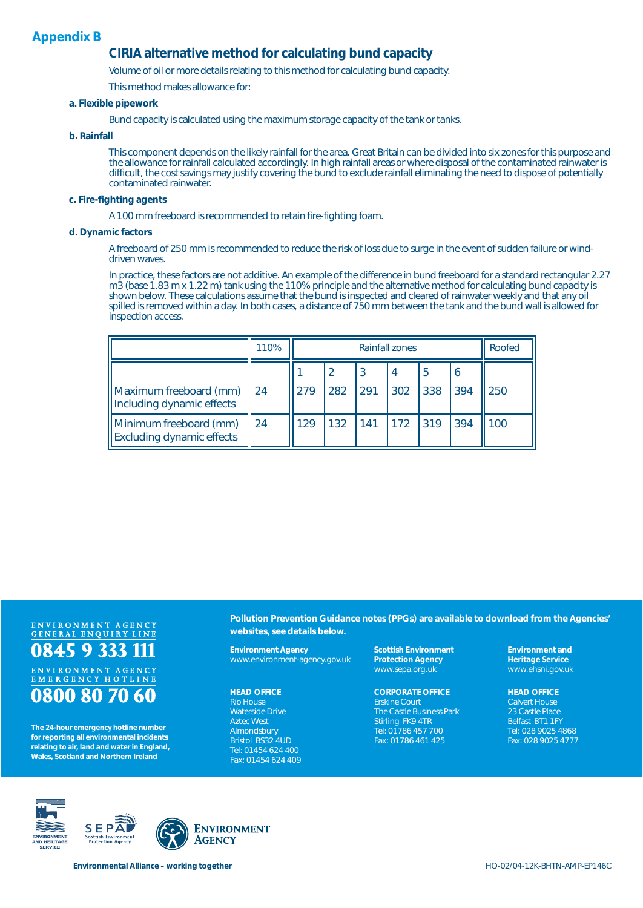## **Appendix B**

## **CIRIA alternative method for calculating bund capacity**

Volume of oil or more details relating to this method for calculating bund capacity.

This method makes allowance for:

### **a. Flexible pipework**

Bund capacity is calculated using the maximum storage capacity of the tank or tanks.

### **b. Rainfall**

This component depends on the likely rainfall for the area. Great Britain can be divided into six zones for this purpose and the allowance for rainfall calculated accordingly. In high rainfall areas or where disposal of the contaminated rainwater is difficult, the cost savings may justify covering the bund to exclude rainfall eliminating the need to dispose of potentially contaminated rainwater.

#### **c. Fire-fighting agents**

A 100 mm freeboard is recommended to retain fire-fighting foam.

#### **d. Dynamic factors**

A freeboard of 250 mm is recommended to reduce the risk of loss due to surge in the event of sudden failure or winddriven waves.

In practice, these factors are not additive. An example of the difference in bund freeboard for a standard rectangular 2.27 m3 (base 1.83 m x 1.22 m) tank using the 110% principle and the alternative method for calculating bund capacity is shown below. These calculations assume that the bund is inspected and cleared of rainwater weekly and that any oil spilled is removed within a day. In both cases, a distance of 750 mm between the tank and the bund wall is allowed for inspection access.

|                                                            | 110% | <b>Rainfall zones</b> |     |     |      | Roofed                                              |     |     |
|------------------------------------------------------------|------|-----------------------|-----|-----|------|-----------------------------------------------------|-----|-----|
|                                                            |      |                       |     | -3  |      |                                                     | -6  |     |
| Maximum freeboard (mm)<br>Including dynamic effects        | 24   | 279                   | 282 | 291 | 302  | 338                                                 | 394 | 250 |
| Minimum freeboard (mm)<br><b>Excluding dynamic effects</b> | 24   | 129                   | 132 | 141 | 1172 | $\begin{array}{c} \hline 319 \\ \hline \end{array}$ | 394 | 100 |

# ENVIRONMENT AGENCY<br>GENERAL ENQUIRY LINE 0845 9 333 11 ENVIRONMENT AGENCY<br>EMERGENCY HOTLINE

# 0800 80 70 60

**The 24-hour emergency hotline number for reporting all environmental incidents relating to air, land and water in England, Wales, Scotland and Northern Ireland**

**Pollution Prevention Guidance notes (PPGs) are available to download from the Agencies' websites, see details below.**

**Environment Agency** www.environment-agency.gov.uk

#### **HEAD OFFICE**

Rio House Waterside Drive Aztec West Almondsbury Bristol BS32 4UD Tel: 01454 624 400 Fax: 01454 624 409 **Scottish Environment Protection Agency** www.sepa.org.uk

#### **CORPORATE OFFICE** Erskine Court The Castle Business Park Stirling FK9 4TR Tel: 01786 457 700 Fax: 01786 461 425

**Environment and Heritage Service** www.ehsni.gov.uk

#### **HEAD OFFICE**

Calvert House 23 Castle Place Belfast BT1 1FY Tel: 028 9025 4868 Fax: 028 9025 4777







Environmental Alliance – working together **HO-02/04-12K-BHTN-AMP-EP146C**